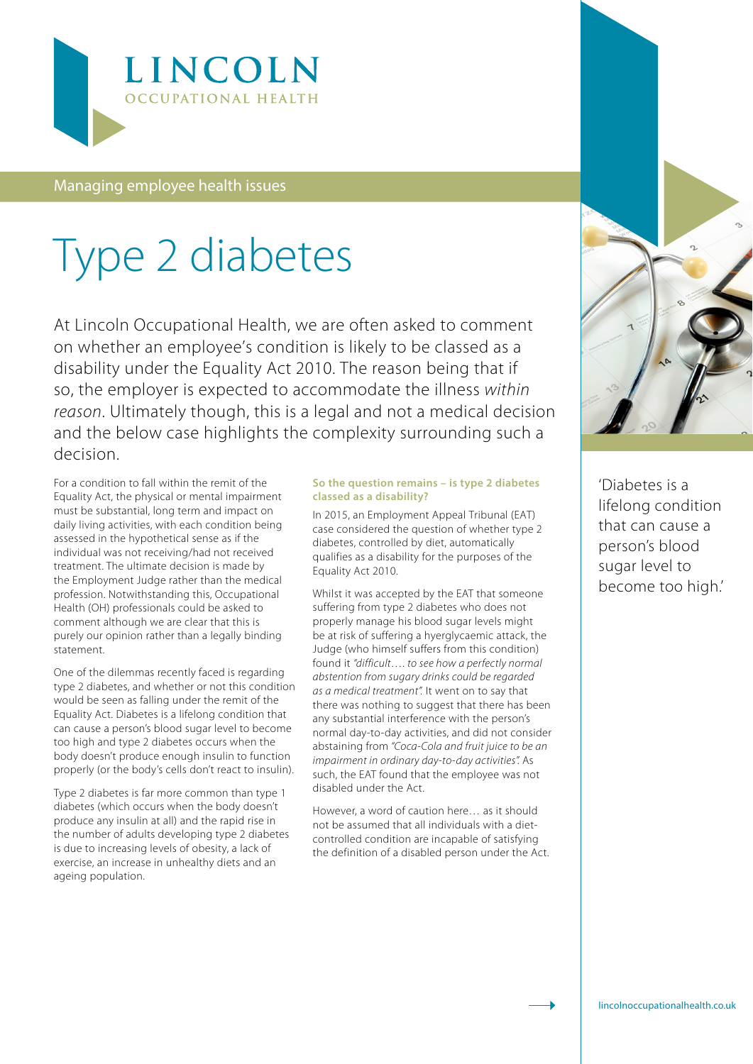

Managing employee health issues

## Type 2 diabetes

At Lincoln Occupational Health, we are often asked to comment on whether an employee's condition is likely to be classed as a disability under the Equality Act 2010. The reason being that if so, the employer is expected to accommodate the illness *within reason*. Ultimately though, this is a legal and not a medical decision and the below case highlights the complexity surrounding such a decision.

For a condition to fall within the remit of the Equality Act, the physical or mental impairment must be substantial, long term and impact on daily living activities, with each condition being assessed in the hypothetical sense as if the individual was not receiving/had not received treatment. The ultimate decision is made by the Employment Judge rather than the medical profession. Notwithstanding this, Occupational Health (OH) professionals could be asked to comment although we are clear that this is purely our opinion rather than a legally binding statement.

One of the dilemmas recently faced is regarding type 2 diabetes, and whether or not this condition would be seen as falling under the remit of the Equality Act. Diabetes is a lifelong condition that can cause a person's blood sugar level to become too high and type 2 diabetes occurs when the body doesn't produce enough insulin to function properly (or the body's cells don't react to insulin).

Type 2 diabetes is far more common than type 1 diabetes (which occurs when the body doesn't produce any insulin at all) and the rapid rise in the number of adults developing type 2 diabetes is due to increasing levels of obesity, a lack of exercise, an increase in unhealthy diets and an ageing population.

## **So the question remains – is type 2 diabetes classed as a disability?**

In 2015, an Employment Appeal Tribunal (EAT) case considered the question of whether type 2 diabetes, controlled by diet, automatically qualifies as a disability for the purposes of the Equality Act 2010.

Whilst it was accepted by the EAT that someone suffering from type 2 diabetes who does not properly manage his blood sugar levels might be at risk of suffering a hyerglycaemic attack, the Judge (who himself suffers from this condition) found it *"difficult…. to see how a perfectly normal abstention from sugary drinks could be regarded as a medical treatment".* It went on to say that there was nothing to suggest that there has been any substantial interference with the person's normal day-to-day activities, and did not consider abstaining from *"Coca-Cola and fruit juice to be an impairment in ordinary day-to-day activities".* As such, the EAT found that the employee was not disabled under the Act.

However, a word of caution here… as it should not be assumed that all individuals with a dietcontrolled condition are incapable of satisfying the definition of a disabled person under the Act.



'Diabetes is a lifelong condition that can cause a person's blood sugar level to become too high.'